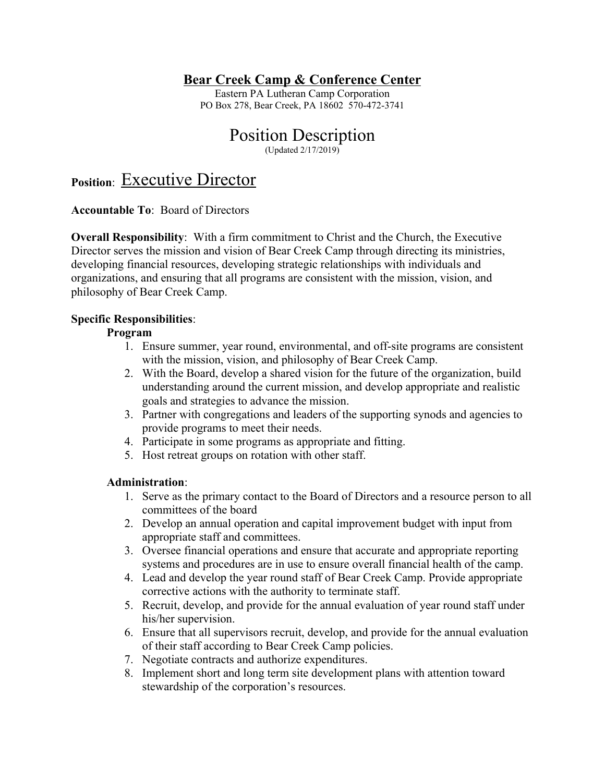# **Bear Creek Camp & Conference Center**

Eastern PA Lutheran Camp Corporation PO Box 278, Bear Creek, PA 18602 570-472-3741

# Position Description

(Updated 2/17/2019)

# **Position**: Executive Director

## **Accountable To**: Board of Directors

**Overall Responsibility:** With a firm commitment to Christ and the Church, the Executive Director serves the mission and vision of Bear Creek Camp through directing its ministries, developing financial resources, developing strategic relationships with individuals and organizations, and ensuring that all programs are consistent with the mission, vision, and philosophy of Bear Creek Camp.

## **Specific Responsibilities**:

## **Program**

- 1. Ensure summer, year round, environmental, and off-site programs are consistent with the mission, vision, and philosophy of Bear Creek Camp.
- 2. With the Board, develop a shared vision for the future of the organization, build understanding around the current mission, and develop appropriate and realistic goals and strategies to advance the mission.
- 3. Partner with congregations and leaders of the supporting synods and agencies to provide programs to meet their needs.
- 4. Participate in some programs as appropriate and fitting.
- 5. Host retreat groups on rotation with other staff.

## **Administration**:

- 1. Serve as the primary contact to the Board of Directors and a resource person to all committees of the board
- 2. Develop an annual operation and capital improvement budget with input from appropriate staff and committees.
- 3. Oversee financial operations and ensure that accurate and appropriate reporting systems and procedures are in use to ensure overall financial health of the camp.
- 4. Lead and develop the year round staff of Bear Creek Camp. Provide appropriate corrective actions with the authority to terminate staff.
- 5. Recruit, develop, and provide for the annual evaluation of year round staff under his/her supervision.
- 6. Ensure that all supervisors recruit, develop, and provide for the annual evaluation of their staff according to Bear Creek Camp policies.
- 7. Negotiate contracts and authorize expenditures.
- 8. Implement short and long term site development plans with attention toward stewardship of the corporation's resources.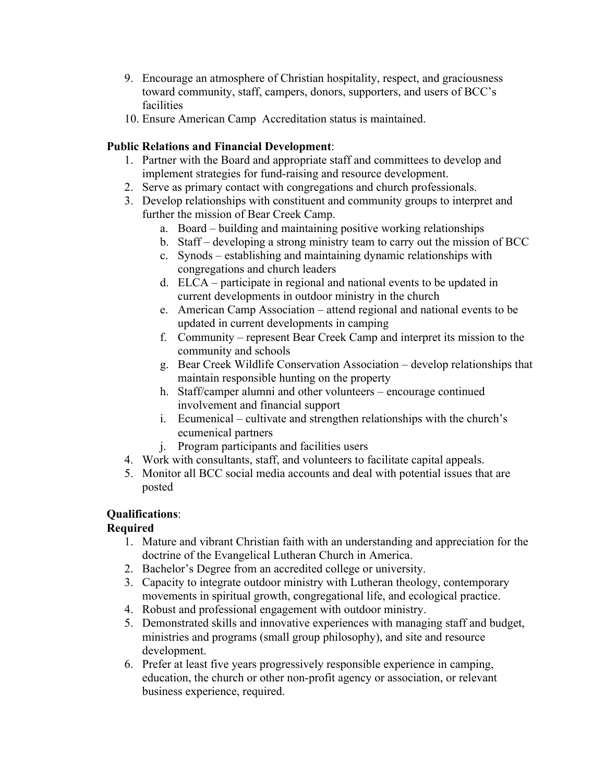- 9. Encourage an atmosphere of Christian hospitality, respect, and graciousness toward community, staff, campers, donors, supporters, and users of BCC's facilities
- 10. Ensure American Camp Accreditation status is maintained.

## **Public Relations and Financial Development**:

- 1. Partner with the Board and appropriate staff and committees to develop and implement strategies for fund-raising and resource development.
- 2. Serve as primary contact with congregations and church professionals.
- 3. Develop relationships with constituent and community groups to interpret and further the mission of Bear Creek Camp.
	- a. Board building and maintaining positive working relationships
	- b. Staff developing a strong ministry team to carry out the mission of BCC
	- c. Synods establishing and maintaining dynamic relationships with congregations and church leaders
	- d. ELCA participate in regional and national events to be updated in current developments in outdoor ministry in the church
	- e. American Camp Association attend regional and national events to be updated in current developments in camping
	- f. Community represent Bear Creek Camp and interpret its mission to the community and schools
	- g. Bear Creek Wildlife Conservation Association develop relationships that maintain responsible hunting on the property
	- h. Staff/camper alumni and other volunteers encourage continued involvement and financial support
	- i. Ecumenical cultivate and strengthen relationships with the church's ecumenical partners
	- j. Program participants and facilities users
- 4. Work with consultants, staff, and volunteers to facilitate capital appeals.
- 5. Monitor all BCC social media accounts and deal with potential issues that are posted

# **Qualifications**:

# **Required**

- 1. Mature and vibrant Christian faith with an understanding and appreciation for the doctrine of the Evangelical Lutheran Church in America.
- 2. Bachelor's Degree from an accredited college or university.
- 3. Capacity to integrate outdoor ministry with Lutheran theology, contemporary movements in spiritual growth, congregational life, and ecological practice.
- 4. Robust and professional engagement with outdoor ministry.
- 5. Demonstrated skills and innovative experiences with managing staff and budget, ministries and programs (small group philosophy), and site and resource development.
- 6. Prefer at least five years progressively responsible experience in camping, education, the church or other non-profit agency or association, or relevant business experience, required.